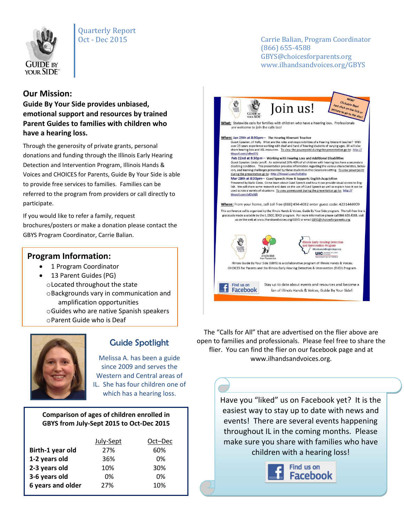

# Quarterly Report

Oct - Dec 2015 Carrie Balian, Program Coordinator (866) 655-4588 GBYS@choicesforparents.org www.ilhandsandvoices.org/GBYS

### **Our Mission:**

**Guide By Your Side provides unbiased, emotional support and resources by trained Parent Guides to families with children who have a hearing loss.** 

Through the generosity of private grants, personal donations and funding through the Illinois Early Hearing Detection and Intervention Program, Illinois Hands & Voices and CHOICES for Parents, Guide By Your Side is able to provide free services to families. Families can be referred to the program from providers or call directly to participate.

If you would like to refer a family, request brochures/posters or make a donation please contact the GBYS Program Coordinator, Carrie Balian.

### **Program Information:**

- 1 Program Coordinator
- 13 Parent Guides (PG) oLocated throughout the state oBackgrounds vary in communication and amplification opportunities oGuides who are native Spanish speakers oParent Guide who is Deaf



## Guide Spotlight

Melissa A. has been a guide since 2009 and serves the Western and Central areas of IL. She has four children one of which has a hearing loss.

#### **Comparison of ages of children enrolled in GBYS from July-Sept 2015 to Oct-Dec 2015**

|                   | July-Sept | Oct-Dec |
|-------------------|-----------|---------|
| Birth-1 year old  | 27%       | 60%     |
| 1-2 years old     | 36%       | 0%      |
| 2-3 years old     | 10%       | 30%     |
| 3-6 years old     | 0%        | 0%      |
| 6 years and older | 27%       | 10%     |
|                   |           |         |



The "Calls for All" that are advertised on the flier above are open to families and professionals. Please feel free to share the flier. You can find the flier on our facebook page and at www.ilhandsandvoices.org.

> Have you "liked" us on Facebook yet? It is the easiest way to stay up to date with news and events! There are several events happening throughout IL in the coming months. Please make sure you share with families who have children with a hearing loss!